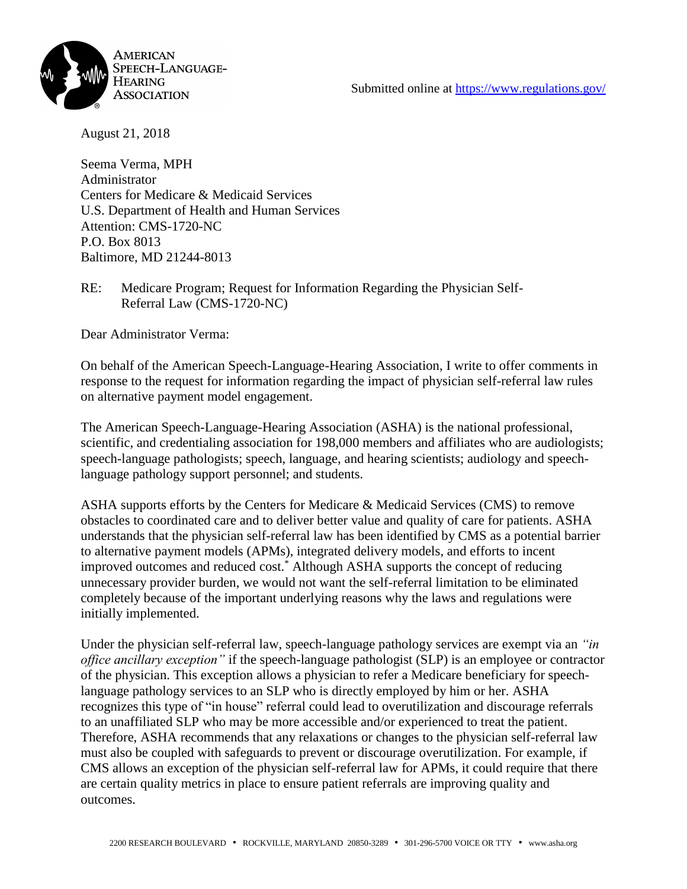

August 21, 2018

Seema Verma, MPH Administrator Centers for Medicare & Medicaid Services U.S. Department of Health and Human Services Attention: CMS-1720-NC P.O. Box 8013 Baltimore, MD 21244-8013

RE: Medicare Program; Request for Information Regarding the Physician Self-Referral Law (CMS-1720-NC)

Dear Administrator Verma:

On behalf of the American Speech-Language-Hearing Association, I write to offer comments in response to the request for information regarding the impact of physician self-referral law rules on alternative payment model engagement.

The American Speech-Language-Hearing Association (ASHA) is the national professional, scientific, and credentialing association for 198,000 members and affiliates who are audiologists; speech-language pathologists; speech, language, and hearing scientists; audiology and speechlanguage pathology support personnel; and students.

ASHA supports efforts by the Centers for Medicare & Medicaid Services (CMS) to remove obstacles to coordinated care and to deliver better value and quality of care for patients. ASHA understands that the physician self-referral law has been identified by CMS as a potential barrier to alternative payment models (APMs), integrated delivery models, and efforts to incent improved outcomes and reduced cost.\* Although ASHA supports the concept of reducing unnecessary provider burden, we would not want the self-referral limitation to be eliminated completely because of the important underlying reasons why the laws and regulations were initially implemented.

Under the physician self-referral law, speech-language pathology services are exempt via an *"in office ancillary exception"* if the speech-language pathologist (SLP) is an employee or contractor of the physician. This exception allows a physician to refer a Medicare beneficiary for speechlanguage pathology services to an SLP who is directly employed by him or her. ASHA recognizes this type of "in house" referral could lead to overutilization and discourage referrals to an unaffiliated SLP who may be more accessible and/or experienced to treat the patient. Therefore, ASHA recommends that any relaxations or changes to the physician self-referral law must also be coupled with safeguards to prevent or discourage overutilization. For example, if CMS allows an exception of the physician self-referral law for APMs, it could require that there are certain quality metrics in place to ensure patient referrals are improving quality and outcomes.